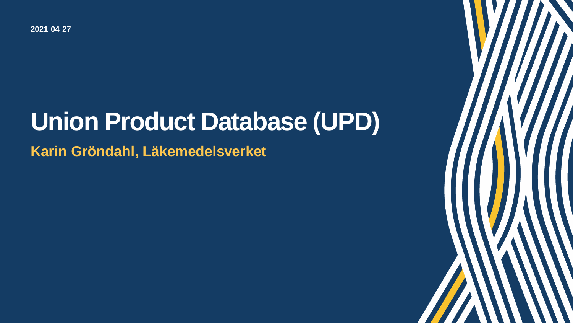**- - 2021 04 27** 

## **Union Product Database (UPD)**

1

**Karin Gröndahl, Läkemedelsverket**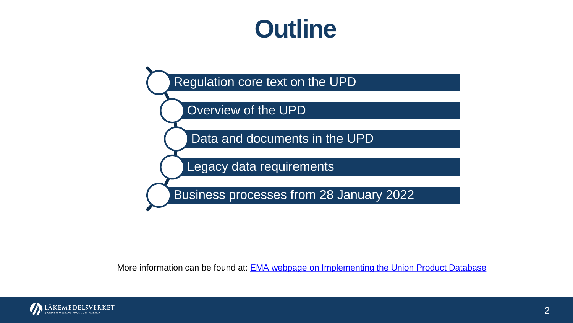## **Outline**



More information can be found at: **EMA webpage on Implementing the Union Product Database** 

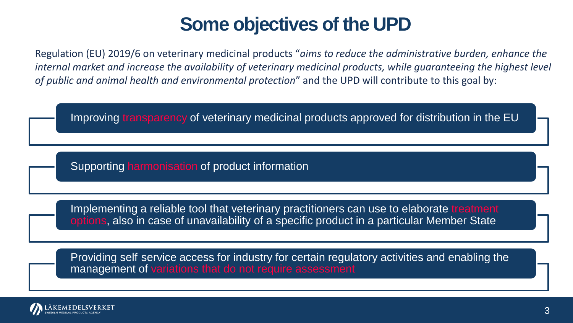## **Some objectives of the UPD**

Regulation (EU) 2019/6 on veterinary medicinal products "*aims to reduce the administrative burden, enhance the internal market and increase the availability of veterinary medicinal products, while guaranteeing the highest level*  of public and animal health and environmental protection" and the UPD will contribute to this goal by:

Improving transparency of veterinary medicinal products approved for distribution in the EU

Supporting harmonisation of product information

Implementing a reliable tool that veterinary practitioners can use to elaborate treatment options, also in case of unavailability of a specific product in a particular Member State

Providing self service access for industry for certain regulatory activities and enabling the management of variations that do not require assessment

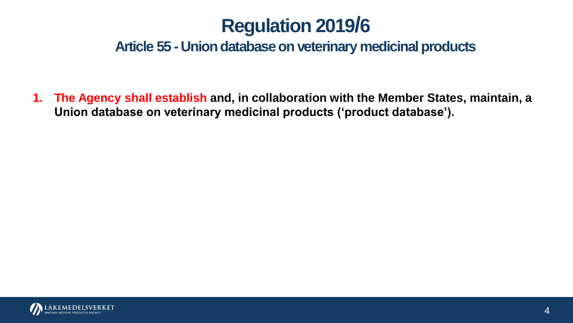#### **Article 55 - Union database on veterinary medicinal products**

 **1. The Agency shall establish and, in collaboration with the Member States, maintain, a Union database on veterinary medicinal products ('product database'). Regulation 2019/6**<br>Article 55 - Union database on veterinary me<br>gency shall establish and, in collaboration with the<br>database on veterinary medicinal products ('produ

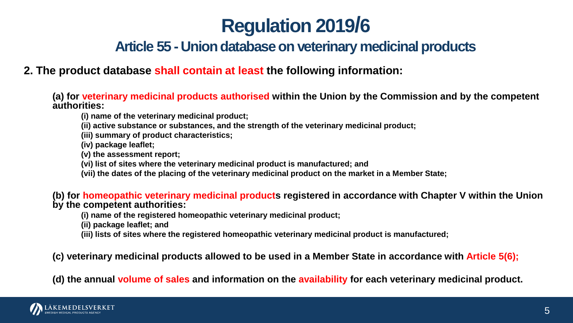## **Regulation 2019/6**

#### **Article 55 - Union database on veterinary medicinal products**

 **2. The product database shall contain at least the following information:** 

 **(a) for veterinary medicinal products authorised within the Union by the Commission and by the competent authorities:** 

**(i) name of the veterinary medicinal product;** 

**(ii) active substance or substances, and the strength of the veterinary medicinal product;** 

**(iii) summary of product characteristics;** 

**(iv) package leaflet;** 

**(v) the assessment report;** 

**(vi) list of sites where the veterinary medicinal product is manufactured; and** 

 **(vii) the dates of the placing of the veterinary medicinal product on the market in a Member State;** 

**(b) for homeopathic veterinary medicinal products registered in accordance with Chapter V within the Union by the competent authorities:** 

**(i) name of the registered homeopathic veterinary medicinal product;** 

**(ii) package leaflet; and** 

**(iii) lists of sites where the registered homeopathic veterinary medicinal product is manufactured;** 

 **(c) veterinary medicinal products allowed to be used in a Member State in accordance with Article 5(6);** 

 **(d) the annual volume of sales and information on the availability for each veterinary medicinal product.** 

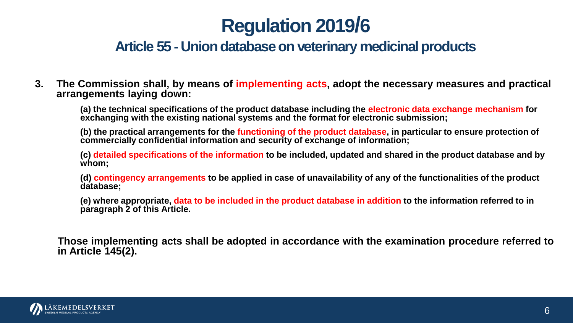## **Regulation 2019/6**

#### **Article 55 - Union database on veterinary medicinal products**

**3. The Commission shall, by means of implementing acts, adopt the necessary measures and practical arrangements laying down:** 

 **(a) the technical specifications of the product database including the electronic data exchange mechanism for exchanging with the existing national systems and the format for electronic submission;** 

 **(b) the practical arrangements for the functioning of the product database, in particular to ensure protection of commercially confidential information and security of exchange of information;** 

 **(c) detailed specifications of the information to be included, updated and shared in the product database and by whom;** 

 **(d) contingency arrangements to be applied in case of unavailability of any of the functionalities of the product database;** 

 **(e) where appropriate, data to be included in the product database in addition to the information referred to in paragraph 2 of this Article.** 

**Those implementing acts shall be adopted in accordance with the examination procedure referred to in Article 145(2).** 

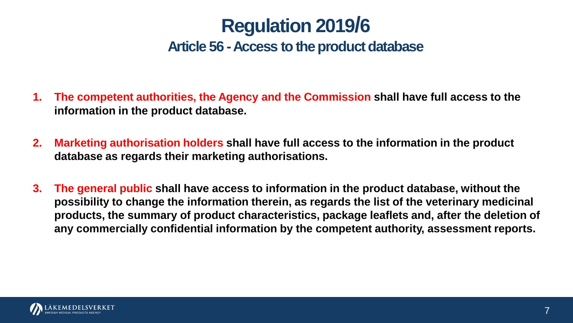## **Regulation 2019/6**

#### Article 56 - Access to the product database

- **1. The competent authorities, the Agency and the Commission shall have full access to the information in the product database.**
- **2. Marketing authorisation holders shall have full access to the information in the product database as regards their marketing authorisations.**
- **3. The general public shall have access to information in the product database, without the possibility to change the information therein, as regards the list of the veterinary medicinal products, the summary of product characteristics, package leaflets and, after the deletion of any commercially confidential information by the competent authority, assessment reports.**

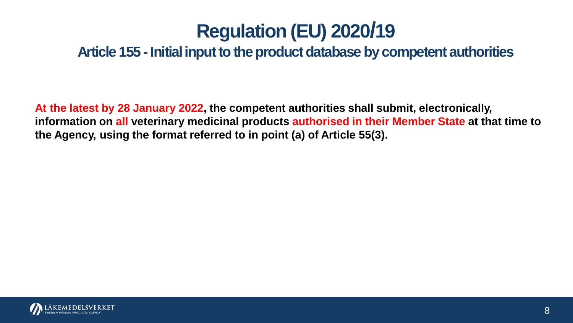## **Regulation (EU) 2020/19**

**Article 155 -Initial input to the product database by competent authorities** 

 **At the latest by 28 January 2022, the competent authorities shall submit, electronically, information on all veterinary medicinal products authorised in their Member State at that time to the Agency, using the format referred to in point (a) of Article 55(3).** 

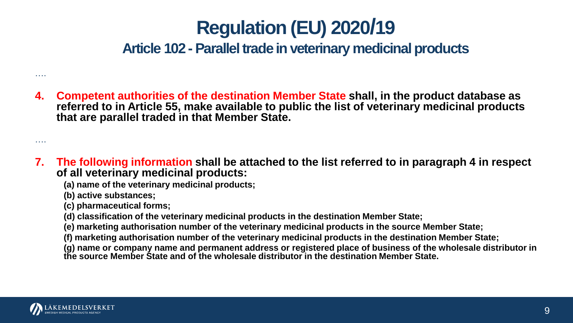## **Regulation (EU) 2020/19**

**Article 102 -Parallel trade in veterinary medicinal products** 

 **4. Competent authorities of the destination Member State shall, in the product database as referred to in Article 55, make available to public the list of veterinary medicinal products that are parallel traded in that Member State.** 

 **7. The following information shall be attached to the list referred to in paragraph 4 in respect of all veterinary medicinal products:** 

**(a) name of the veterinary medicinal products;** 

**(b) active substances;** 

**(c) pharmaceutical forms;** 

 **(d) classification of the veterinary medicinal products in the destination Member State;** 

 **(e) marketing authorisation number of the veterinary medicinal products in the source Member State;** 

 **(f) marketing authorisation number of the veterinary medicinal products in the destination Member State;** 

 **(g) name or company name and permanent address or registered place of business of the wholesale distributor in the source Member State and of the wholesale distributor in the destination Member State.** 



….

….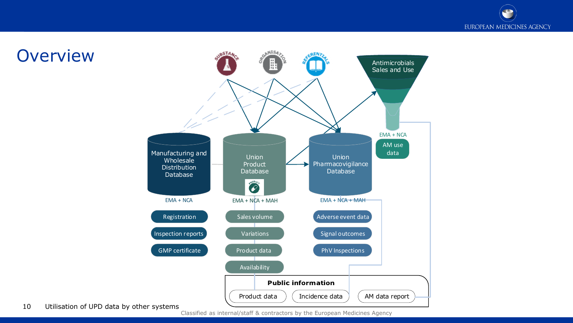**IBSTAA** te<sup>NIS4</sup> **GEN>** H Antimicrobials Sales and Use EMA + NCA AM use Manufacturing and data Union Union Wholesale Product Pharmacovigilance **Distribution** Database Database Database enobuck  $EMA + NCA$   $EMA + NCA + MAH$   $EMA + NCA + MAH$ Adverse event data Registration Sales volume Inspection reports Variations Signal outcomes GMP certificate Product data PhV Inspections Availability **Public information** Product data  $\binom{M}{k}$  ( Incidence data  $\binom{M}{k}$  ( AM data report Incidence data

#### **Overview**

10 Utilisation of UPD data by other systems

Classified as internal/staff & contractors by the European Medicines Agency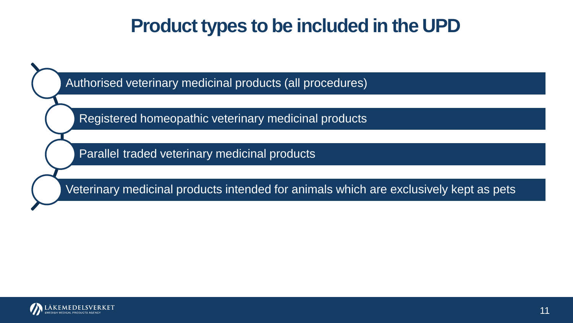## **Product types to be included in the UPD**

Authorised veterinary medicinal products (all procedures)

Registered homeopathic veterinary medicinal products

Parallel traded veterinary medicinal products

Veterinary medicinal products intended for animals which are exclusively kept as pets

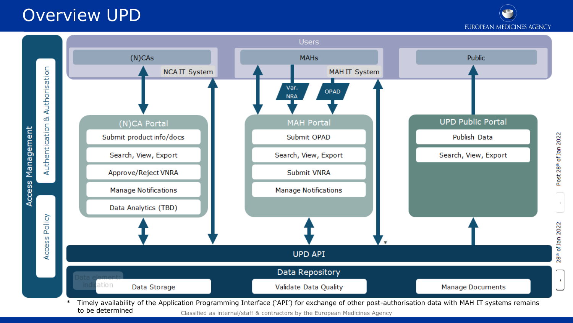### Overview UPD

**EUROPEAN MEDICINES AGENCY** 



to be determined Classified as internal/staff & contractors by the European Medicines Agency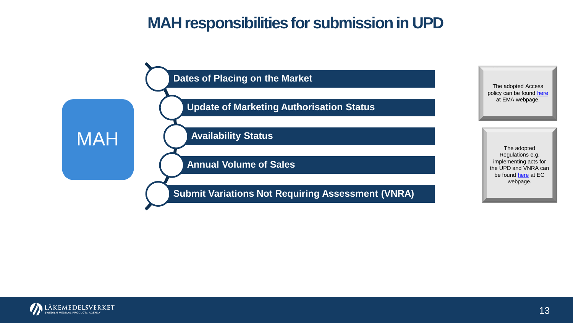### **MAH responsibilities for submission in UPD**



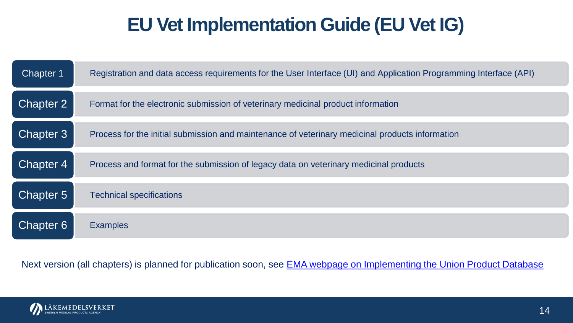## **EU Vet Implementation Guide (EU Vet IG)**

| Chapter 1 | Registration and data access requirements for the User Interface (UI) and Application Programming Interface (API) |
|-----------|-------------------------------------------------------------------------------------------------------------------|
| Chapter 2 | Format for the electronic submission of veterinary medicinal product information                                  |
| Chapter 3 | Process for the initial submission and maintenance of veterinary medicinal products information                   |
| Chapter 4 | Process and format for the submission of legacy data on veterinary medicinal products                             |
| Chapter 5 | <b>Technical specifications</b>                                                                                   |
| Chapter 6 | <b>Examples</b>                                                                                                   |

Next version (all chapters) is planned for publication soon, see EMA webpage on Implementing the Union Product Database

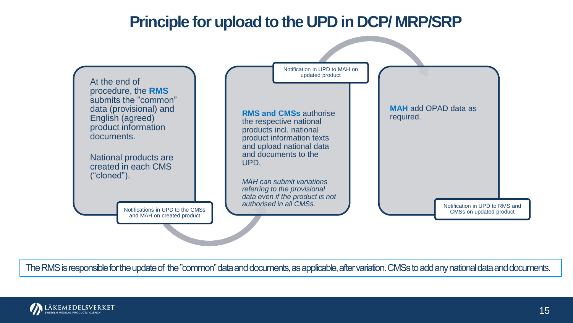

The RMS is responsible for the update of the "common" data and documents, as applicable, after variation. CMSs to add any national data and documents.

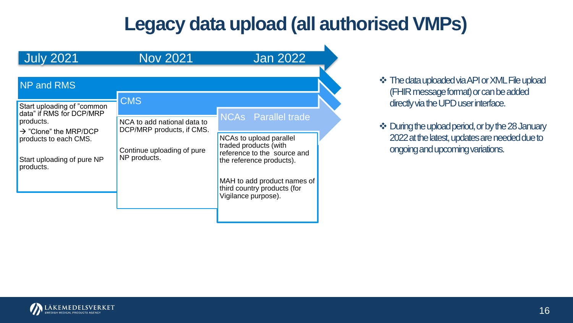## **Legacy data upload (all authorised VMPs)**

| <b>July 2021</b>                                                                                          | <b>Nov 2021</b>                                          | <b>Jan 2022</b>                                                                                             |
|-----------------------------------------------------------------------------------------------------------|----------------------------------------------------------|-------------------------------------------------------------------------------------------------------------|
| <b>NP and RMS</b>                                                                                         | <b>CMS</b>                                               |                                                                                                             |
| Start uploading of "common"<br>data" if RMS for DCP/MRP<br>products.<br>$\rightarrow$ "Clone" the MRP/DCP | NCA to add national data to<br>DCP/MRP products, if CMS. | <b>NCAs</b> Parallel trade                                                                                  |
| products to each CMS.<br>Start uploading of pure NP<br>products.                                          | Continue uploading of pure<br>NP products.               | NCAs to upload parallel<br>traded products (with<br>reference to the source and<br>the reference products). |
|                                                                                                           |                                                          | MAH to add product names of<br>third country products (for<br>Vigilance purpose).                           |

 ❖ ThedatauploadedviaAPIorXMLFileupload (FHIR message format) or can be added directly via the UPD user interface.

❖ During the upload period, or by the 28 January 2022 at the latest, updates are needed due to ongoingandupcomingvariations.

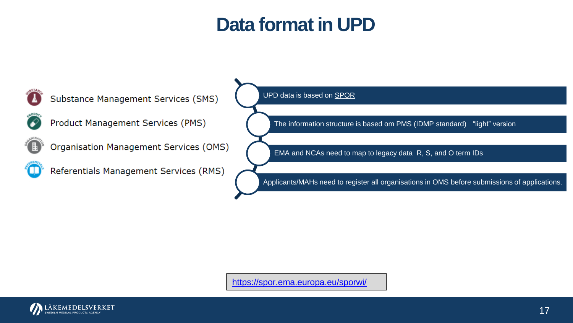## Data format in UPD



<https://spor.ema.europa.eu/sporwi/>

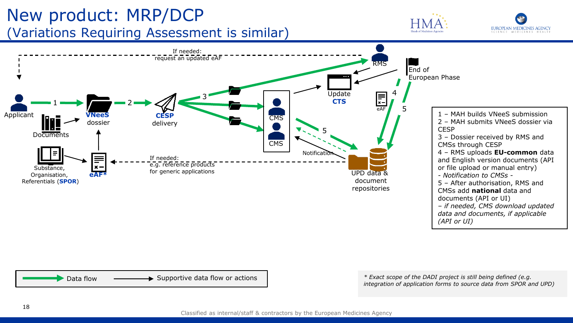#### (Variations Requiring Assessment is similar) New product: MRP/DCP









 *integration of application forms to source data from SPOR and UPD)*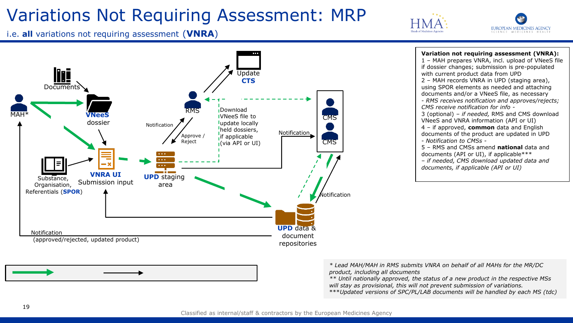## Variations Not Requiring Assessment: MRP





i.e. **all** variations not requiring assessment (**VNRA**)





**Variation not requiring assessment (VNRA):**  1 – MAH prepares VNRA, incl. upload of VNeeS file if dossier changes; submission is pre-populated with current product data from UPD **CTS 2** – MAH records VNRA in UPD (staging area), using SPOR elements as needed and attaching documents and/or a VNeeS file, as necessary *- RMS receives notification and approves/rejects;*  VNeeS file to 3 (optional) – *if needed,* RMS and CMS download  VNeeS and VNRA information (API or UI) 4 – if approved, **common** data and English documents of the product are updated in UPD 5 – RMS and CMSs amend **national** data and documents (API or UI), if applicable\*\*\* *– if needed, CMS download updated data and documents, if applicable (API or UI)* 

> *\* Lead MAH/MAH in RMS submits VNRA on behalf of all MAHs for the MR/DC*  product, including all documents

*\*\* Until nationally approved, the status of a new product in the respective MSs*  will stay as provisional, this will not prevent submission of variations.

\*\*\**Updated versions of SPC/PL/LAB documents will be handled by each MS (tdc)*